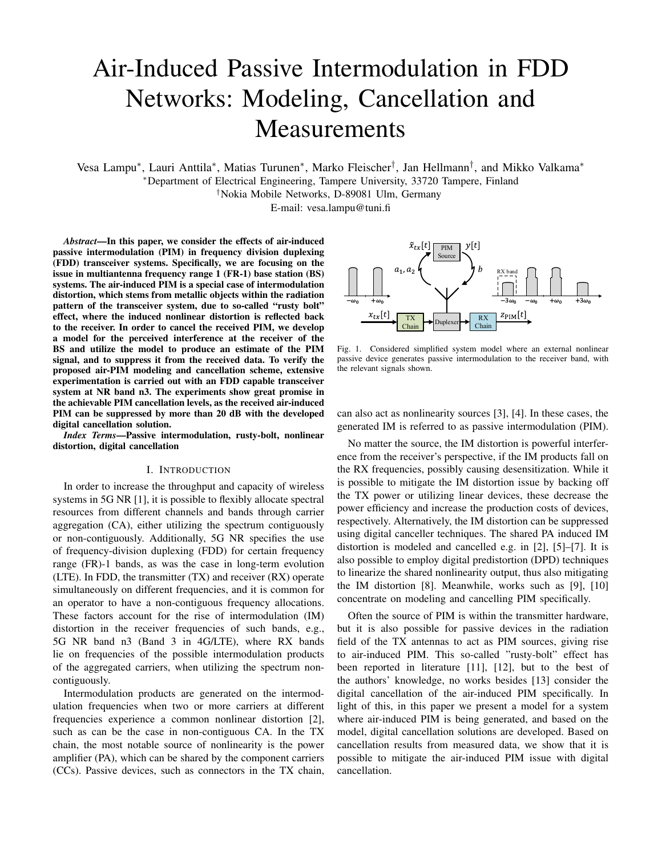# Air-Induced Passive Intermodulation in FDD Networks: Modeling, Cancellation and Measurements

Vesa Lampu\*, Lauri Anttila\*, Matias Turunen\*, Marko Fleischer<sup>†</sup>, Jan Hellmann<sup>†</sup>, and Mikko Valkama\*

<sup>∗</sup>Department of Electrical Engineering, Tampere University, 33720 Tampere, Finland

†Nokia Mobile Networks, D-89081 Ulm, Germany

E-mail: vesa.lampu@tuni.fi

*Abstract*—In this paper, we consider the effects of air-induced passive intermodulation (PIM) in frequency division duplexing (FDD) transceiver systems. Specifically, we are focusing on the issue in multiantenna frequency range 1 (FR-1) base station (BS) systems. The air-induced PIM is a special case of intermodulation distortion, which stems from metallic objects within the radiation pattern of the transceiver system, due to so-called "rusty bolt" effect, where the induced nonlinear distortion is reflected back to the receiver. In order to cancel the received PIM, we develop a model for the perceived interference at the receiver of the BS and utilize the model to produce an estimate of the PIM signal, and to suppress it from the received data. To verify the proposed air-PIM modeling and cancellation scheme, extensive experimentation is carried out with an FDD capable transceiver system at NR band n3. The experiments show great promise in the achievable PIM cancellation levels, as the received air-induced PIM can be suppressed by more than 20 dB with the developed digital cancellation solution.

*Index Terms*—Passive intermodulation, rusty-bolt, nonlinear distortion, digital cancellation

## I. INTRODUCTION

In order to increase the throughput and capacity of wireless systems in 5G NR [1], it is possible to flexibly allocate spectral resources from different channels and bands through carrier aggregation (CA), either utilizing the spectrum contiguously or non-contiguously. Additionally, 5G NR specifies the use of frequency-division duplexing (FDD) for certain frequency range (FR)-1 bands, as was the case in long-term evolution (LTE). In FDD, the transmitter (TX) and receiver (RX) operate simultaneously on different frequencies, and it is common for an operator to have a non-contiguous frequency allocations. These factors account for the rise of intermodulation (IM) distortion in the receiver frequencies of such bands, e.g., 5G NR band n3 (Band 3 in 4G/LTE), where RX bands lie on frequencies of the possible intermodulation products of the aggregated carriers, when utilizing the spectrum noncontiguously.

Intermodulation products are generated on the intermodulation frequencies when two or more carriers at different frequencies experience a common nonlinear distortion [2], such as can be the case in non-contiguous CA. In the TX chain, the most notable source of nonlinearity is the power amplifier (PA), which can be shared by the component carriers (CCs). Passive devices, such as connectors in the TX chain,



Fig. 1. Considered simplified system model where an external nonlinear passive device generates passive intermodulation to the receiver band, with the relevant signals shown.

can also act as nonlinearity sources [3], [4]. In these cases, the generated IM is referred to as passive intermodulation (PIM).

No matter the source, the IM distortion is powerful interference from the receiver's perspective, if the IM products fall on the RX frequencies, possibly causing desensitization. While it is possible to mitigate the IM distortion issue by backing off the TX power or utilizing linear devices, these decrease the power efficiency and increase the production costs of devices, respectively. Alternatively, the IM distortion can be suppressed using digital canceller techniques. The shared PA induced IM distortion is modeled and cancelled e.g. in [2], [5]–[7]. It is also possible to employ digital predistortion (DPD) techniques to linearize the shared nonlinearity output, thus also mitigating the IM distortion [8]. Meanwhile, works such as [9], [10] concentrate on modeling and cancelling PIM specifically.

Often the source of PIM is within the transmitter hardware, but it is also possible for passive devices in the radiation field of the TX antennas to act as PIM sources, giving rise to air-induced PIM. This so-called "rusty-bolt" effect has been reported in literature [11], [12], but to the best of the authors' knowledge, no works besides [13] consider the digital cancellation of the air-induced PIM specifically. In light of this, in this paper we present a model for a system where air-induced PIM is being generated, and based on the model, digital cancellation solutions are developed. Based on cancellation results from measured data, we show that it is possible to mitigate the air-induced PIM issue with digital cancellation.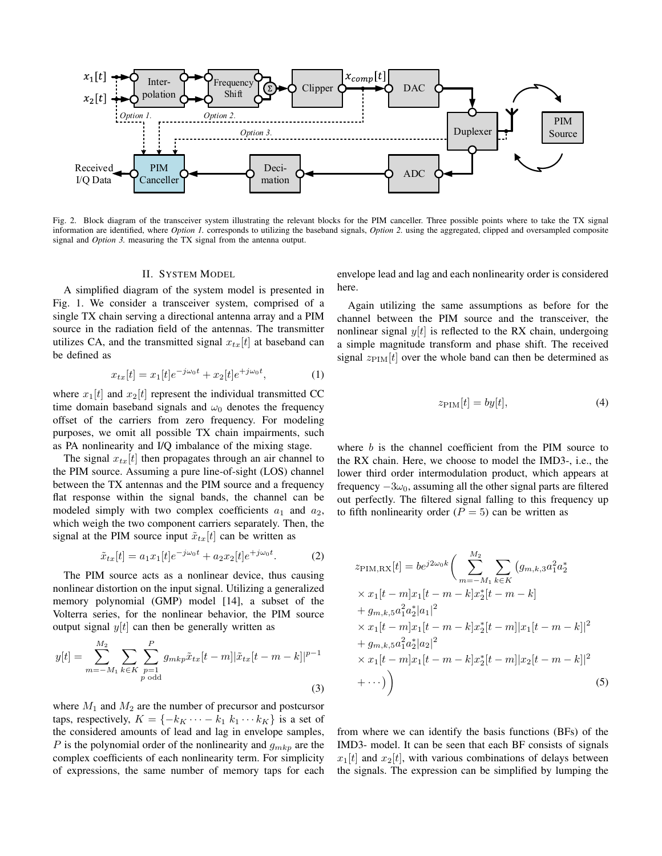

Fig. 2. Block diagram of the transceiver system illustrating the relevant blocks for the PIM canceller. Three possible points where to take the TX signal information are identified, where *Option 1.* corresponds to utilizing the baseband signals, *Option 2.* using the aggregated, clipped and oversampled composite signal and *Option 3.* measuring the TX signal from the antenna output.

## II. SYSTEM MODEL

A simplified diagram of the system model is presented in Fig. 1. We consider a transceiver system, comprised of a single TX chain serving a directional antenna array and a PIM source in the radiation field of the antennas. The transmitter utilizes CA, and the transmitted signal  $x_{tx}[t]$  at baseband can be defined as

$$
x_{tx}[t] = x_1[t]e^{-j\omega_0 t} + x_2[t]e^{+j\omega_0 t}, \tag{1}
$$

where  $x_1[t]$  and  $x_2[t]$  represent the individual transmitted CC time domain baseband signals and  $\omega_0$  denotes the frequency offset of the carriers from zero frequency. For modeling purposes, we omit all possible TX chain impairments, such as PA nonlinearity and I/Q imbalance of the mixing stage.

The signal  $x_{tx}[t]$  then propagates through an air channel to the PIM source. Assuming a pure line-of-sight (LOS) channel between the TX antennas and the PIM source and a frequency flat response within the signal bands, the channel can be modeled simply with two complex coefficients  $a_1$  and  $a_2$ , which weigh the two component carriers separately. Then, the signal at the PIM source input  $\tilde{x}_{tx}[t]$  can be written as

$$
\tilde{x}_{tx}[t] = a_1 x_1[t] e^{-j\omega_0 t} + a_2 x_2[t] e^{+j\omega_0 t}.
$$
 (2)

The PIM source acts as a nonlinear device, thus causing nonlinear distortion on the input signal. Utilizing a generalized memory polynomial (GMP) model [14], a subset of the Volterra series, for the nonlinear behavior, the PIM source output signal  $y[t]$  can then be generally written as

$$
y[t] = \sum_{m=-M_1}^{M_2} \sum_{k \in K} \sum_{\substack{p=1 \ p \text{ odd}}}^P g_{mkp} \tilde{x}_{tx}[t-m] |\tilde{x}_{tx}[t-m-k]|^{p-1}
$$
\n(3)

M<sup>2</sup>

where  $M_1$  and  $M_2$  are the number of precursor and postcursor taps, respectively,  $K = \{-k_K \cdots - k_1 \; k_1 \cdots k_K\}$  is a set of the considered amounts of lead and lag in envelope samples, P is the polynomial order of the nonlinearity and  $g_{mkp}$  are the complex coefficients of each nonlinearity term. For simplicity of expressions, the same number of memory taps for each

envelope lead and lag and each nonlinearity order is considered here.

Again utilizing the same assumptions as before for the channel between the PIM source and the transceiver, the nonlinear signal  $y[t]$  is reflected to the RX chain, undergoing a simple magnitude transform and phase shift. The received signal  $z_{\text{PIM}}[t]$  over the whole band can then be determined as

$$
z_{\rm PIM}[t] = by[t],\tag{4}
$$

where  $b$  is the channel coefficient from the PIM source to the RX chain. Here, we choose to model the IMD3-, i.e., the lower third order intermodulation product, which appears at frequency  $-3\omega_0$ , assuming all the other signal parts are filtered out perfectly. The filtered signal falling to this frequency up to fifth nonlinearity order  $(P = 5)$  can be written as

$$
z_{\text{PIM,RX}}[t] = be^{j2\omega_0 k} \bigg( \sum_{m=-M_1}^{M_2} \sum_{k \in K} (g_{m,k,3} a_1^2 a_2^*
$$
  
\n
$$
\times x_1[t-m]x_1[t-m-k]x_2^*[t-m-k]
$$
  
\n
$$
+ g_{m,k,5} a_1^2 a_2^* |a_1|^2
$$
  
\n
$$
\times x_1[t-m]x_1[t-m-k]x_2^*[t-m] |x_1[t-m-k]|^2
$$
  
\n
$$
+ g_{m,k,5} a_1^2 a_2^* |a_2|^2
$$
  
\n
$$
\times x_1[t-m]x_1[t-m-k]x_2^*[t-m] |x_2[t-m-k]|^2
$$
  
\n
$$
+ \cdots ) \bigg) (5)
$$

from where we can identify the basis functions (BFs) of the IMD3- model. It can be seen that each BF consists of signals  $x_1[t]$  and  $x_2[t]$ , with various combinations of delays between the signals. The expression can be simplified by lumping the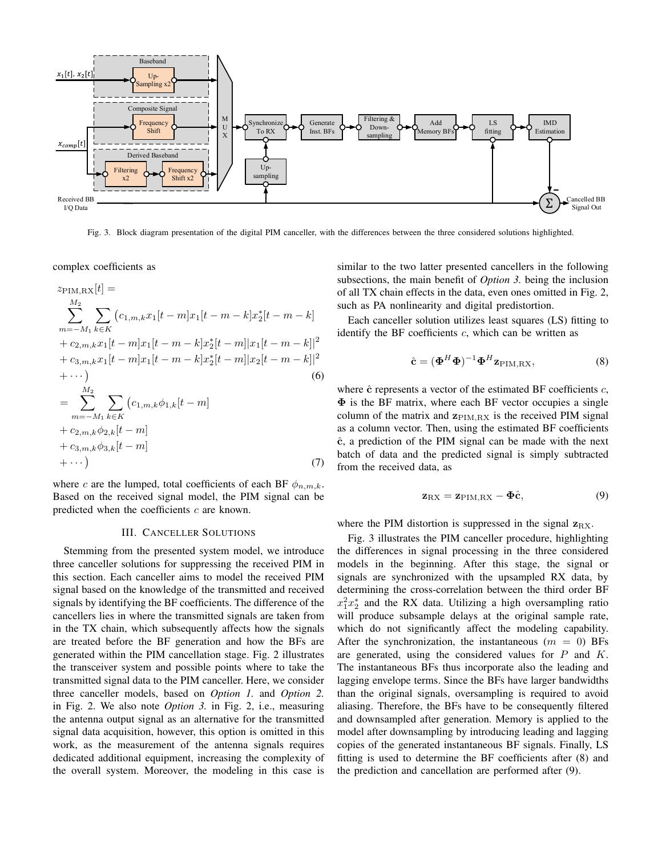

Fig. 3. Block diagram presentation of the digital PIM canceller, with the differences between the three considered solutions highlighted.

complex coefficients as

$$
z_{\text{PIM,RX}}[t] =
$$
\n
$$
\sum_{m=-M_1}^{M_2} \sum_{k \in K} (c_{1,m,k}x_1[t-m]x_1[t-m-k]x_2^*[t-m-k]
$$
\n
$$
+ c_{2,m,k}x_1[t-m]x_1[t-m-k]x_2^*[t-m] |x_1[t-m-k]|^2
$$
\n
$$
+ c_{3,m,k}x_1[t-m]x_1[t-m-k]x_2^*[t-m] |x_2[t-m-k]|^2
$$
\n
$$
+ \cdots )
$$
\n
$$
= \sum_{m=-M_1}^{M_2} \sum_{k \in K} (c_{1,m,k}\phi_{1,k}[t-m]
$$
\n
$$
+ c_{2,m,k}\phi_{2,k}[t-m]
$$
\n
$$
+ c_{3,m,k}\phi_{3,k}[t-m]
$$
\n
$$
+ \cdots )
$$
\n(7)

where c are the lumped, total coefficients of each BF  $\phi_{n,m,k}$ . Based on the received signal model, the PIM signal can be predicted when the coefficients  $c$  are known.

## III. CANCELLER SOLUTIONS

Stemming from the presented system model, we introduce three canceller solutions for suppressing the received PIM in this section. Each canceller aims to model the received PIM signal based on the knowledge of the transmitted and received signals by identifying the BF coefficients. The difference of the cancellers lies in where the transmitted signals are taken from in the TX chain, which subsequently affects how the signals are treated before the BF generation and how the BFs are generated within the PIM cancellation stage. Fig. 2 illustrates the transceiver system and possible points where to take the transmitted signal data to the PIM canceller. Here, we consider three canceller models, based on *Option 1.* and *Option 2.* in Fig. 2. We also note *Option 3.* in Fig. 2, i.e., measuring the antenna output signal as an alternative for the transmitted signal data acquisition, however, this option is omitted in this work, as the measurement of the antenna signals requires dedicated additional equipment, increasing the complexity of the overall system. Moreover, the modeling in this case is

similar to the two latter presented cancellers in the following subsections, the main benefit of *Option 3.* being the inclusion of all TX chain effects in the data, even ones omitted in Fig. 2, such as PA nonlinearity and digital predistortion.

Each canceller solution utilizes least squares (LS) fitting to identify the BF coefficients  $c$ , which can be written as

$$
\hat{\mathbf{c}} = (\mathbf{\Phi}^H \mathbf{\Phi})^{-1} \mathbf{\Phi}^H \mathbf{z}_{\text{PIM,RX}},
$$
\n(8)

where  $\hat{c}$  represents a vector of the estimated BF coefficients  $c$ , Φ is the BF matrix, where each BF vector occupies a single column of the matrix and  $z_{\text{PIM,RX}}$  is the received PIM signal as a column vector. Then, using the estimated BF coefficients  $\hat{c}$ , a prediction of the PIM signal can be made with the next batch of data and the predicted signal is simply subtracted from the received data, as

$$
\mathbf{z}_{\text{RX}} = \mathbf{z}_{\text{PIM,RX}} - \mathbf{\Phi}\hat{\mathbf{c}},\tag{9}
$$

where the PIM distortion is suppressed in the signal  $z_{\text{RX}}$ .

Fig. 3 illustrates the PIM canceller procedure, highlighting the differences in signal processing in the three considered models in the beginning. After this stage, the signal or signals are synchronized with the upsampled RX data, by determining the cross-correlation between the third order BF  $x_1^2 x_2^*$  and the RX data. Utilizing a high oversampling ratio will produce subsample delays at the original sample rate, which do not significantly affect the modeling capability. After the synchronization, the instantaneous  $(m = 0)$  BFs are generated, using the considered values for  $P$  and  $K$ . The instantaneous BFs thus incorporate also the leading and lagging envelope terms. Since the BFs have larger bandwidths than the original signals, oversampling is required to avoid aliasing. Therefore, the BFs have to be consequently filtered and downsampled after generation. Memory is applied to the model after downsampling by introducing leading and lagging copies of the generated instantaneous BF signals. Finally, LS fitting is used to determine the BF coefficients after (8) and the prediction and cancellation are performed after (9).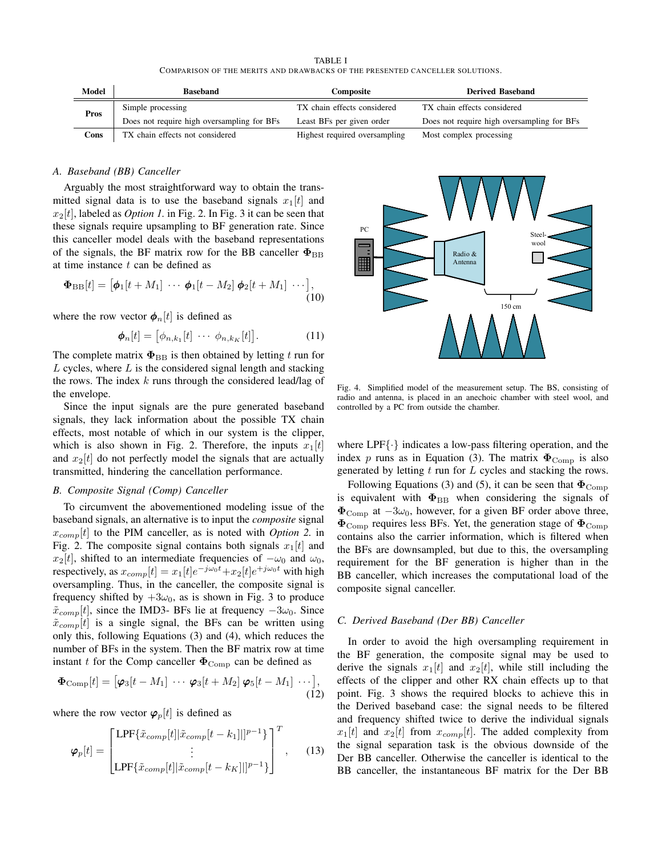TABLE I COMPARISON OF THE MERITS AND DRAWBACKS OF THE PRESENTED CANCELLER SOLUTIONS.

| Model | <b>Baseband</b>                            | Composite                     | <b>Derived Baseband</b>                    |
|-------|--------------------------------------------|-------------------------------|--------------------------------------------|
| Pros  | Simple processing                          | TX chain effects considered   | TX chain effects considered                |
|       | Does not require high oversampling for BFs | Least BFs per given order     | Does not require high oversampling for BFs |
| Cons  | TX chain effects not considered            | Highest required oversampling | Most complex processing                    |

## *A. Baseband (BB) Canceller*

Arguably the most straightforward way to obtain the transmitted signal data is to use the baseband signals  $x_1[t]$  and  $x_2[t]$ , labeled as *Option 1*. in Fig. 2. In Fig. 3 it can be seen that these signals require upsampling to BF generation rate. Since this canceller model deals with the baseband representations of the signals, the BF matrix row for the BB canceller  $\Phi_{\text{BB}}$ at time instance  $t$  can be defined as

$$
\mathbf{\Phi}_{\mathrm{BB}}[t] = [\mathbf{\phi}_1[t+M_1] \cdots \mathbf{\phi}_1[t-M_2] \mathbf{\phi}_2[t+M_1] \cdots],
$$
\n(10)

where the row vector  $\phi_n[t]$  is defined as

$$
\boldsymbol{\phi}_n[t] = \begin{bmatrix} \phi_{n,k_1}[t] & \cdots & \phi_{n,k_K}[t] \end{bmatrix} . \tag{11}
$$

The complete matrix  $\Phi_{\text{BB}}$  is then obtained by letting t run for  $L$  cycles, where  $L$  is the considered signal length and stacking the rows. The index  $k$  runs through the considered lead/lag of the envelope.

Since the input signals are the pure generated baseband signals, they lack information about the possible TX chain effects, most notable of which in our system is the clipper, which is also shown in Fig. 2. Therefore, the inputs  $x_1[t]$ and  $x_2[t]$  do not perfectly model the signals that are actually transmitted, hindering the cancellation performance.

### *B. Composite Signal (Comp) Canceller*

To circumvent the abovementioned modeling issue of the baseband signals, an alternative is to input the *composite* signal  $x_{comn}[t]$  to the PIM canceller, as is noted with *Option 2*. in Fig. 2. The composite signal contains both signals  $x_1[t]$  and  $x_2[t]$ , shifted to an intermediate frequencies of  $-\omega_0$  and  $\omega_0$ , respectively, as  $x_{comp}[t] = x_1[t]e^{-j\omega_0 t} + x_2[t]e^{+j\omega_0 t}$  with high oversampling. Thus, in the canceller, the composite signal is frequency shifted by  $+3\omega_0$ , as is shown in Fig. 3 to produce  $\tilde{x}_{comp}[t]$ , since the IMD3- BFs lie at frequency  $-3\omega_0$ . Since  $\tilde{x}_{comp}[t]$  is a single signal, the BFs can be written using only this, following Equations (3) and (4), which reduces the number of BFs in the system. Then the BF matrix row at time instant t for the Comp canceller  $\Phi_{\text{Comp}}$  can be defined as

$$
\mathbf{\Phi}_{\text{Comp}}[t] = [\boldsymbol{\varphi}_3[t-M_1] \cdots \boldsymbol{\varphi}_3[t+M_2] \boldsymbol{\varphi}_5[t-M_1] \cdots],
$$
\n(12)

where the row vector  $\varphi_p[t]$  is defined as

$$
\varphi_p[t] = \begin{bmatrix} \text{LPF}\{\tilde{x}_{comp}[t]|\tilde{x}_{comp}[t-k_1]|]^{p-1}\} \\ \vdots \\ \text{LPF}\{\tilde{x}_{comp}[t]|\tilde{x}_{comp}[t-k_K]|]^{p-1}\} \end{bmatrix}^T, \quad (13)
$$



Fig. 4. Simplified model of the measurement setup. The BS, consisting of radio and antenna, is placed in an anechoic chamber with steel wool, and controlled by a PC from outside the chamber.

where  $LPF\{\cdot\}$  indicates a low-pass filtering operation, and the index p runs as in Equation (3). The matrix  $\Phi_{\text{Comp}}$  is also generated by letting  $t$  run for  $L$  cycles and stacking the rows.

Following Equations (3) and (5), it can be seen that  $\Phi_{\text{Comp}}$ is equivalent with  $\Phi_{\text{BB}}$  when considering the signals of  $\Phi_{\text{Comp}}$  at  $-3\omega_0$ , however, for a given BF order above three,  $\Phi_{\rm Comn}$  requires less BFs. Yet, the generation stage of  $\Phi_{\rm Comn}$ contains also the carrier information, which is filtered when the BFs are downsampled, but due to this, the oversampling requirement for the BF generation is higher than in the BB canceller, which increases the computational load of the composite signal canceller.

#### *C. Derived Baseband (Der BB) Canceller*

In order to avoid the high oversampling requirement in the BF generation, the composite signal may be used to derive the signals  $x_1[t]$  and  $x_2[t]$ , while still including the effects of the clipper and other RX chain effects up to that point. Fig. 3 shows the required blocks to achieve this in the Derived baseband case: the signal needs to be filtered and frequency shifted twice to derive the individual signals  $x_1[t]$  and  $x_2[t]$  from  $x_{comp}[t]$ . The added complexity from the signal separation task is the obvious downside of the Der BB canceller. Otherwise the canceller is identical to the BB canceller, the instantaneous BF matrix for the Der BB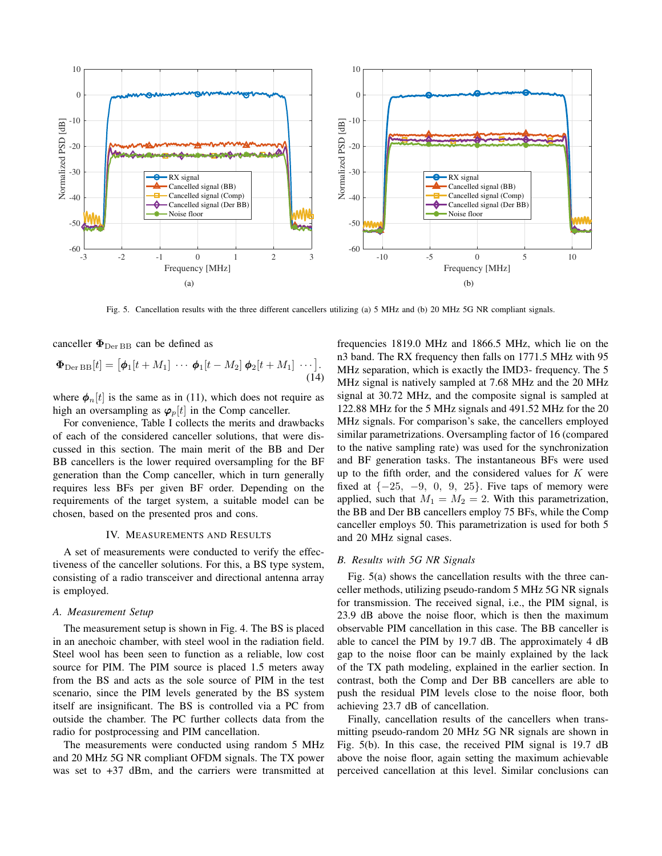

Fig. 5. Cancellation results with the three different cancellers utilizing (a) 5 MHz and (b) 20 MHz 5G NR compliant signals.

canceller  $\Phi_{\text{Der BB}}$  can be defined as

$$
\mathbf{\Phi}_{\text{Der BB}}[t] = [\boldsymbol{\phi}_1[t+M_1] \cdots \boldsymbol{\phi}_1[t-M_2] \boldsymbol{\phi}_2[t+M_1] \cdots].
$$
\n(14)

where  $\phi_n[t]$  is the same as in (11), which does not require as high an oversampling as  $\varphi_p[t]$  in the Comp canceller.

For convenience, Table I collects the merits and drawbacks of each of the considered canceller solutions, that were discussed in this section. The main merit of the BB and Der BB cancellers is the lower required oversampling for the BF generation than the Comp canceller, which in turn generally requires less BFs per given BF order. Depending on the requirements of the target system, a suitable model can be chosen, based on the presented pros and cons.

## IV. MEASUREMENTS AND RESULTS

A set of measurements were conducted to verify the effectiveness of the canceller solutions. For this, a BS type system, consisting of a radio transceiver and directional antenna array is employed.

## *A. Measurement Setup*

The measurement setup is shown in Fig. 4. The BS is placed in an anechoic chamber, with steel wool in the radiation field. Steel wool has been seen to function as a reliable, low cost source for PIM. The PIM source is placed 1.5 meters away from the BS and acts as the sole source of PIM in the test scenario, since the PIM levels generated by the BS system itself are insignificant. The BS is controlled via a PC from outside the chamber. The PC further collects data from the radio for postprocessing and PIM cancellation.

The measurements were conducted using random 5 MHz and 20 MHz 5G NR compliant OFDM signals. The TX power was set to  $+37$  dBm, and the carriers were transmitted at

frequencies 1819.0 MHz and 1866.5 MHz, which lie on the n3 band. The RX frequency then falls on 1771.5 MHz with 95 MHz separation, which is exactly the IMD3- frequency. The 5 MHz signal is natively sampled at 7.68 MHz and the 20 MHz signal at 30.72 MHz, and the composite signal is sampled at 122.88 MHz for the 5 MHz signals and 491.52 MHz for the 20 MHz signals. For comparison's sake, the cancellers employed similar parametrizations. Oversampling factor of 16 (compared to the native sampling rate) was used for the synchronization and BF generation tasks. The instantaneous BFs were used up to the fifth order, and the considered values for  $K$  were fixed at  $\{-25, -9, 0, 9, 25\}$ . Five taps of memory were applied, such that  $M_1 = M_2 = 2$ . With this parametrization, the BB and Der BB cancellers employ 75 BFs, while the Comp canceller employs 50. This parametrization is used for both 5 and 20 MHz signal cases.

## *B. Results with 5G NR Signals*

Fig. 5(a) shows the cancellation results with the three canceller methods, utilizing pseudo-random 5 MHz 5G NR signals for transmission. The received signal, i.e., the PIM signal, is 23.9 dB above the noise floor, which is then the maximum observable PIM cancellation in this case. The BB canceller is able to cancel the PIM by 19.7 dB. The approximately 4 dB gap to the noise floor can be mainly explained by the lack of the TX path modeling, explained in the earlier section. In contrast, both the Comp and Der BB cancellers are able to push the residual PIM levels close to the noise floor, both achieving 23.7 dB of cancellation.

Finally, cancellation results of the cancellers when transmitting pseudo-random 20 MHz 5G NR signals are shown in Fig. 5(b). In this case, the received PIM signal is 19.7 dB above the noise floor, again setting the maximum achievable perceived cancellation at this level. Similar conclusions can